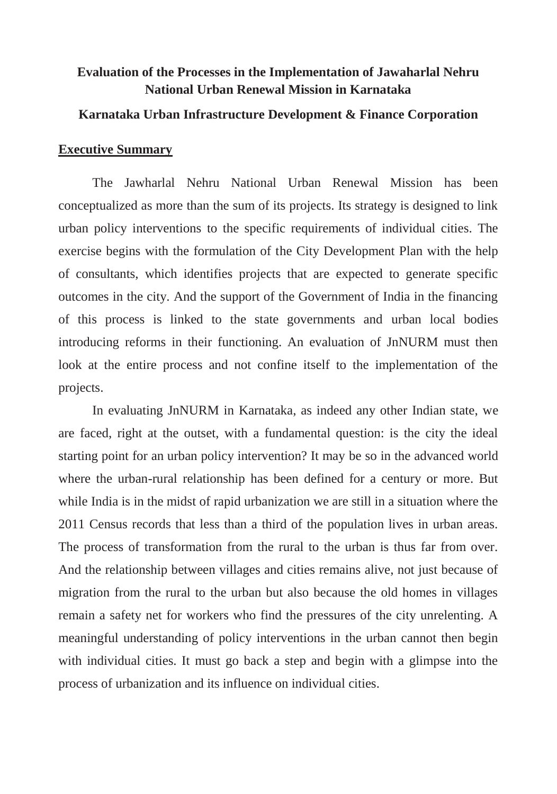# **Evaluation of the Processes in the Implementation of Jawaharlal Nehru National Urban Renewal Mission in Karnataka**

### **Karnataka Urban Infrastructure Development & Finance Corporation**

### **Executive Summary**

The Jawharlal Nehru National Urban Renewal Mission has been conceptualized as more than the sum of its projects. Its strategy is designed to link urban policy interventions to the specific requirements of individual cities. The exercise begins with the formulation of the City Development Plan with the help of consultants, which identifies projects that are expected to generate specific outcomes in the city. And the support of the Government of India in the financing of this process is linked to the state governments and urban local bodies introducing reforms in their functioning. An evaluation of JnNURM must then look at the entire process and not confine itself to the implementation of the projects.

In evaluating JnNURM in Karnataka, as indeed any other Indian state, we are faced, right at the outset, with a fundamental question: is the city the ideal starting point for an urban policy intervention? It may be so in the advanced world where the urban-rural relationship has been defined for a century or more. But while India is in the midst of rapid urbanization we are still in a situation where the 2011 Census records that less than a third of the population lives in urban areas. The process of transformation from the rural to the urban is thus far from over. And the relationship between villages and cities remains alive, not just because of migration from the rural to the urban but also because the old homes in villages remain a safety net for workers who find the pressures of the city unrelenting. A meaningful understanding of policy interventions in the urban cannot then begin with individual cities. It must go back a step and begin with a glimpse into the process of urbanization and its influence on individual cities.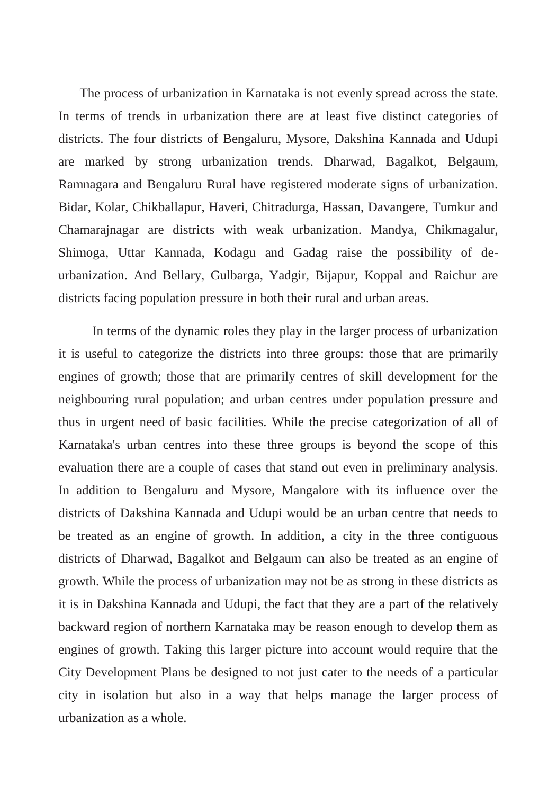The process of urbanization in Karnataka is not evenly spread across the state. In terms of trends in urbanization there are at least five distinct categories of districts. The four districts of Bengaluru, Mysore, Dakshina Kannada and Udupi are marked by strong urbanization trends. Dharwad, Bagalkot, Belgaum, Ramnagara and Bengaluru Rural have registered moderate signs of urbanization. Bidar, Kolar, Chikballapur, Haveri, Chitradurga, Hassan, Davangere, Tumkur and Chamarajnagar are districts with weak urbanization. Mandya, Chikmagalur, Shimoga, Uttar Kannada, Kodagu and Gadag raise the possibility of deurbanization. And Bellary, Gulbarga, Yadgir, Bijapur, Koppal and Raichur are districts facing population pressure in both their rural and urban areas.

In terms of the dynamic roles they play in the larger process of urbanization it is useful to categorize the districts into three groups: those that are primarily engines of growth; those that are primarily centres of skill development for the neighbouring rural population; and urban centres under population pressure and thus in urgent need of basic facilities. While the precise categorization of all of Karnataka's urban centres into these three groups is beyond the scope of this evaluation there are a couple of cases that stand out even in preliminary analysis. In addition to Bengaluru and Mysore, Mangalore with its influence over the districts of Dakshina Kannada and Udupi would be an urban centre that needs to be treated as an engine of growth. In addition, a city in the three contiguous districts of Dharwad, Bagalkot and Belgaum can also be treated as an engine of growth. While the process of urbanization may not be as strong in these districts as it is in Dakshina Kannada and Udupi, the fact that they are a part of the relatively backward region of northern Karnataka may be reason enough to develop them as engines of growth. Taking this larger picture into account would require that the City Development Plans be designed to not just cater to the needs of a particular city in isolation but also in a way that helps manage the larger process of urbanization as a whole.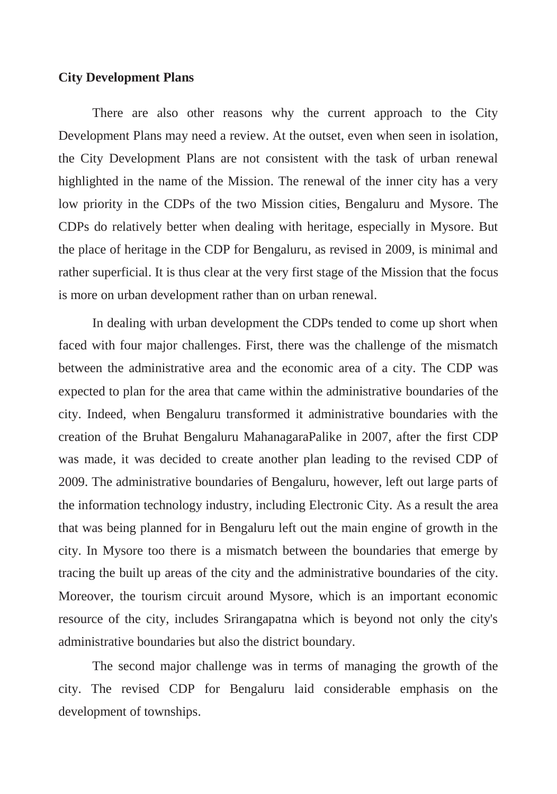#### **City Development Plans**

There are also other reasons why the current approach to the City Development Plans may need a review. At the outset, even when seen in isolation, the City Development Plans are not consistent with the task of urban renewal highlighted in the name of the Mission. The renewal of the inner city has a very low priority in the CDPs of the two Mission cities, Bengaluru and Mysore. The CDPs do relatively better when dealing with heritage, especially in Mysore. But the place of heritage in the CDP for Bengaluru, as revised in 2009, is minimal and rather superficial. It is thus clear at the very first stage of the Mission that the focus is more on urban development rather than on urban renewal.

In dealing with urban development the CDPs tended to come up short when faced with four major challenges. First, there was the challenge of the mismatch between the administrative area and the economic area of a city. The CDP was expected to plan for the area that came within the administrative boundaries of the city. Indeed, when Bengaluru transformed it administrative boundaries with the creation of the Bruhat Bengaluru MahanagaraPalike in 2007, after the first CDP was made, it was decided to create another plan leading to the revised CDP of 2009. The administrative boundaries of Bengaluru, however, left out large parts of the information technology industry, including Electronic City. As a result the area that was being planned for in Bengaluru left out the main engine of growth in the city. In Mysore too there is a mismatch between the boundaries that emerge by tracing the built up areas of the city and the administrative boundaries of the city. Moreover, the tourism circuit around Mysore, which is an important economic resource of the city, includes Srirangapatna which is beyond not only the city's administrative boundaries but also the district boundary.

The second major challenge was in terms of managing the growth of the city. The revised CDP for Bengaluru laid considerable emphasis on the development of townships.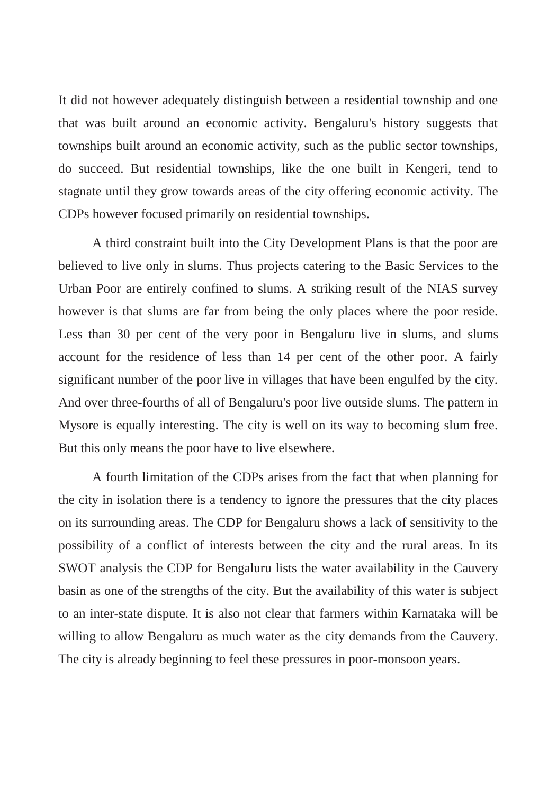It did not however adequately distinguish between a residential township and one that was built around an economic activity. Bengaluru's history suggests that townships built around an economic activity, such as the public sector townships, do succeed. But residential townships, like the one built in Kengeri, tend to stagnate until they grow towards areas of the city offering economic activity. The CDPs however focused primarily on residential townships.

A third constraint built into the City Development Plans is that the poor are believed to live only in slums. Thus projects catering to the Basic Services to the Urban Poor are entirely confined to slums. A striking result of the NIAS survey however is that slums are far from being the only places where the poor reside. Less than 30 per cent of the very poor in Bengaluru live in slums, and slums account for the residence of less than 14 per cent of the other poor. A fairly significant number of the poor live in villages that have been engulfed by the city. And over three-fourths of all of Bengaluru's poor live outside slums. The pattern in Mysore is equally interesting. The city is well on its way to becoming slum free. But this only means the poor have to live elsewhere.

A fourth limitation of the CDPs arises from the fact that when planning for the city in isolation there is a tendency to ignore the pressures that the city places on its surrounding areas. The CDP for Bengaluru shows a lack of sensitivity to the possibility of a conflict of interests between the city and the rural areas. In its SWOT analysis the CDP for Bengaluru lists the water availability in the Cauvery basin as one of the strengths of the city. But the availability of this water is subject to an inter-state dispute. It is also not clear that farmers within Karnataka will be willing to allow Bengaluru as much water as the city demands from the Cauvery. The city is already beginning to feel these pressures in poor-monsoon years.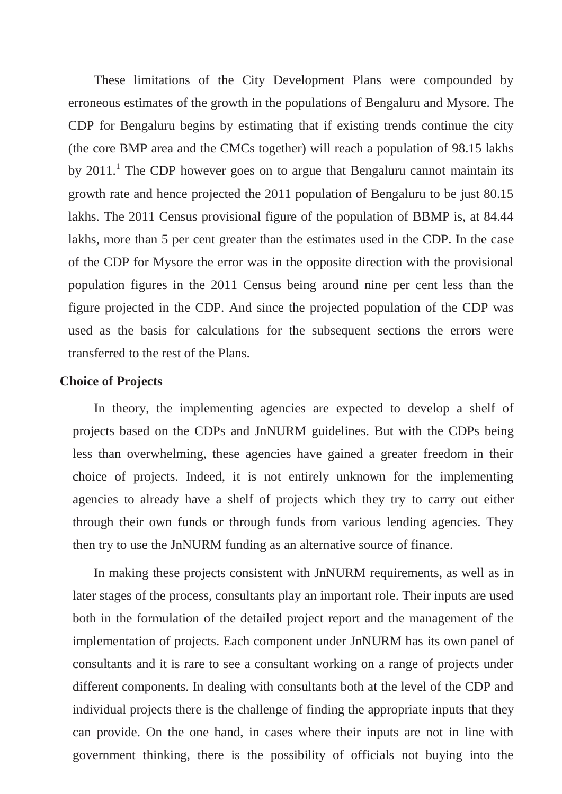These limitations of the City Development Plans were compounded by erroneous estimates of the growth in the populations of Bengaluru and Mysore. The CDP for Bengaluru begins by estimating that if existing trends continue the city (the core BMP area and the CMCs together) will reach a population of 98.15 lakhs by  $2011$ .<sup>1</sup> The CDP however goes on to argue that Bengaluru cannot maintain its growth rate and hence projected the 2011 population of Bengaluru to be just 80.15 lakhs. The 2011 Census provisional figure of the population of BBMP is, at 84.44 lakhs, more than 5 per cent greater than the estimates used in the CDP. In the case of the CDP for Mysore the error was in the opposite direction with the provisional population figures in the 2011 Census being around nine per cent less than the figure projected in the CDP. And since the projected population of the CDP was used as the basis for calculations for the subsequent sections the errors were transferred to the rest of the Plans.

### **Choice of Projects**

In theory, the implementing agencies are expected to develop a shelf of projects based on the CDPs and JnNURM guidelines. But with the CDPs being less than overwhelming, these agencies have gained a greater freedom in their choice of projects. Indeed, it is not entirely unknown for the implementing agencies to already have a shelf of projects which they try to carry out either through their own funds or through funds from various lending agencies. They then try to use the JnNURM funding as an alternative source of finance.

In making these projects consistent with JnNURM requirements, as well as in later stages of the process, consultants play an important role. Their inputs are used both in the formulation of the detailed project report and the management of the implementation of projects. Each component under JnNURM has its own panel of consultants and it is rare to see a consultant working on a range of projects under different components. In dealing with consultants both at the level of the CDP and individual projects there is the challenge of finding the appropriate inputs that they can provide. On the one hand, in cases where their inputs are not in line with government thinking, there is the possibility of officials not buying into the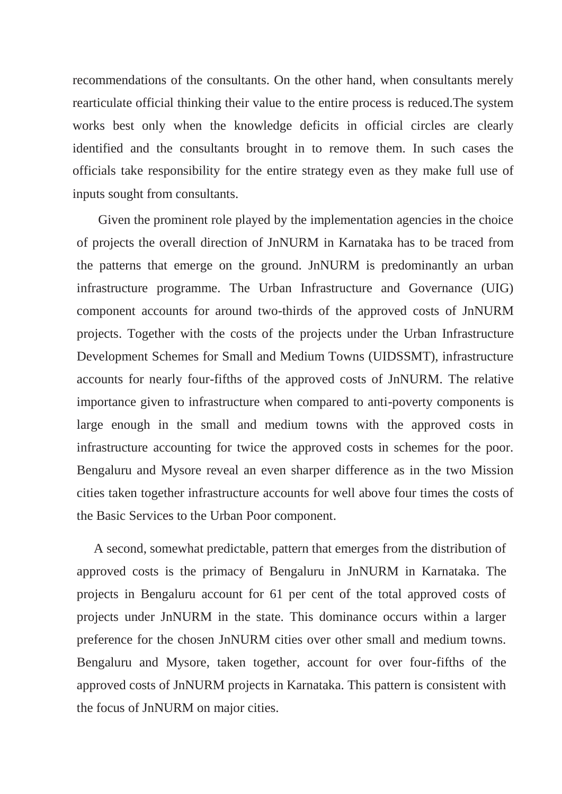recommendations of the consultants. On the other hand, when consultants merely rearticulate official thinking their value to the entire process is reduced.The system works best only when the knowledge deficits in official circles are clearly identified and the consultants brought in to remove them. In such cases the officials take responsibility for the entire strategy even as they make full use of inputs sought from consultants.

Given the prominent role played by the implementation agencies in the choice of projects the overall direction of JnNURM in Karnataka has to be traced from the patterns that emerge on the ground. JnNURM is predominantly an urban infrastructure programme. The Urban Infrastructure and Governance (UIG) component accounts for around two-thirds of the approved costs of JnNURM projects. Together with the costs of the projects under the Urban Infrastructure Development Schemes for Small and Medium Towns (UIDSSMT), infrastructure accounts for nearly four-fifths of the approved costs of JnNURM. The relative importance given to infrastructure when compared to anti-poverty components is large enough in the small and medium towns with the approved costs in infrastructure accounting for twice the approved costs in schemes for the poor. Bengaluru and Mysore reveal an even sharper difference as in the two Mission cities taken together infrastructure accounts for well above four times the costs of the Basic Services to the Urban Poor component.

A second, somewhat predictable, pattern that emerges from the distribution of approved costs is the primacy of Bengaluru in JnNURM in Karnataka. The projects in Bengaluru account for 61 per cent of the total approved costs of projects under JnNURM in the state. This dominance occurs within a larger preference for the chosen JnNURM cities over other small and medium towns. Bengaluru and Mysore, taken together, account for over four-fifths of the approved costs of JnNURM projects in Karnataka. This pattern is consistent with the focus of JnNURM on major cities.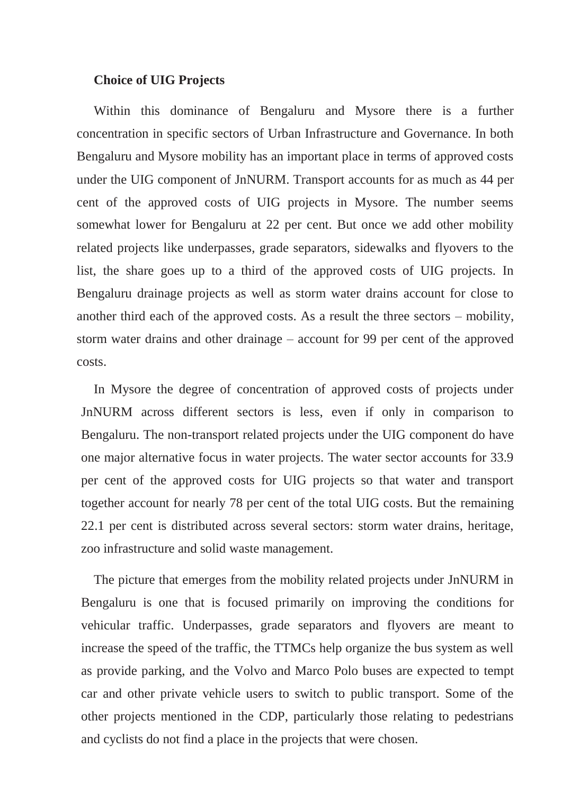### **Choice of UIG Projects**

Within this dominance of Bengaluru and Mysore there is a further concentration in specific sectors of Urban Infrastructure and Governance. In both Bengaluru and Mysore mobility has an important place in terms of approved costs under the UIG component of JnNURM. Transport accounts for as much as 44 per cent of the approved costs of UIG projects in Mysore. The number seems somewhat lower for Bengaluru at 22 per cent. But once we add other mobility related projects like underpasses, grade separators, sidewalks and flyovers to the list, the share goes up to a third of the approved costs of UIG projects. In Bengaluru drainage projects as well as storm water drains account for close to another third each of the approved costs. As a result the three sectors – mobility, storm water drains and other drainage – account for 99 per cent of the approved costs.

In Mysore the degree of concentration of approved costs of projects under JnNURM across different sectors is less, even if only in comparison to Bengaluru. The non-transport related projects under the UIG component do have one major alternative focus in water projects. The water sector accounts for 33.9 per cent of the approved costs for UIG projects so that water and transport together account for nearly 78 per cent of the total UIG costs. But the remaining 22.1 per cent is distributed across several sectors: storm water drains, heritage, zoo infrastructure and solid waste management.

The picture that emerges from the mobility related projects under JnNURM in Bengaluru is one that is focused primarily on improving the conditions for vehicular traffic. Underpasses, grade separators and flyovers are meant to increase the speed of the traffic, the TTMCs help organize the bus system as well as provide parking, and the Volvo and Marco Polo buses are expected to tempt car and other private vehicle users to switch to public transport. Some of the other projects mentioned in the CDP, particularly those relating to pedestrians and cyclists do not find a place in the projects that were chosen.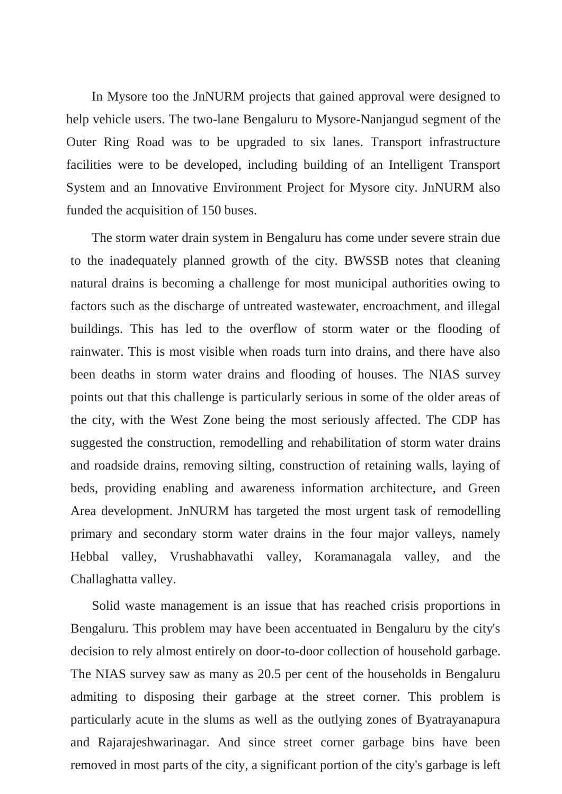In Mysore too the JnNURM projects that gained approval were designed to help vehicle users. The two-lane Bengaluru to Mysore-Nanjangud segment of the Outer Ring Road was to be upgraded to six lanes. Transport infrastructure facilities were to be developed, including building of an Intelligent Transport System and an Innovative Environment Project for Mysore city. JnNURM also funded the acquisition of 150 buses.

The storm water drain system in Bengaluru has come under severe strain due to the inadequately planned growth of the city. BWSSB notes that cleaning natural drains is becoming a challenge for most municipal authorities owing to factors such as the discharge of untreated wastewater, encroachment, and illegal buildings. This has led to the overflow of storm water or the flooding of rainwater. This is most visible when roads turn into drains, and there have also been deaths in storm water drains and flooding of houses. The NIAS survey points out that this challenge is particularly serious in some of the older areas of the city, with the West Zone being the most seriously affected. The CDP has suggested the construction, remodelling and rehabilitation of storm water drains and roadside drains, removing silting, construction of retaining walls, laying of beds, providing enabling and awareness information architecture, and Green Area development. JnNURM has targeted the most urgent task of remodelling primary and secondary storm water drains in the four major valleys, namely Hebbal valley, Vrushabhavathi valley, Koramanagala valley, and the Challaghatta valley.

Solid waste management is an issue that has reached crisis proportions in Bengaluru. This problem may have been accentuated in Bengaluru by the city's decision to rely almost entirely on door-to-door collection of household garbage. The NIAS survey saw as many as 20.5 per cent of the households in Bengaluru admiting to disposing their garbage at the street corner. This problem is particularly acute in the slums as well as the outlying zones of Byatrayanapura and Rajarajeshwarinagar. And since street corner garbage bins have been removed in most parts of the city, a significant portion of the city's garbage is left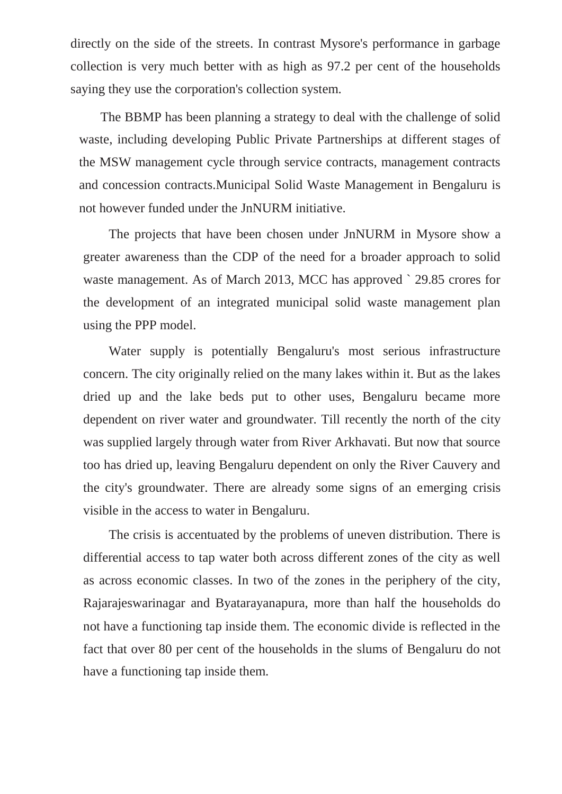directly on the side of the streets. In contrast Mysore's performance in garbage collection is very much better with as high as 97.2 per cent of the households saying they use the corporation's collection system.

The BBMP has been planning a strategy to deal with the challenge of solid waste, including developing Public Private Partnerships at different stages of the MSW management cycle through service contracts, management contracts and concession contracts.Municipal Solid Waste Management in Bengaluru is not however funded under the JnNURM initiative.

The projects that have been chosen under JnNURM in Mysore show a greater awareness than the CDP of the need for a broader approach to solid waste management. As of March 2013, MCC has approved ` 29.85 crores for the development of an integrated municipal solid waste management plan using the PPP model.

Water supply is potentially Bengaluru's most serious infrastructure concern. The city originally relied on the many lakes within it. But as the lakes dried up and the lake beds put to other uses, Bengaluru became more dependent on river water and groundwater. Till recently the north of the city was supplied largely through water from River Arkhavati. But now that source too has dried up, leaving Bengaluru dependent on only the River Cauvery and the city's groundwater. There are already some signs of an emerging crisis visible in the access to water in Bengaluru.

The crisis is accentuated by the problems of uneven distribution. There is differential access to tap water both across different zones of the city as well as across economic classes. In two of the zones in the periphery of the city, Rajarajeswarinagar and Byatarayanapura, more than half the households do not have a functioning tap inside them. The economic divide is reflected in the fact that over 80 per cent of the households in the slums of Bengaluru do not have a functioning tap inside them.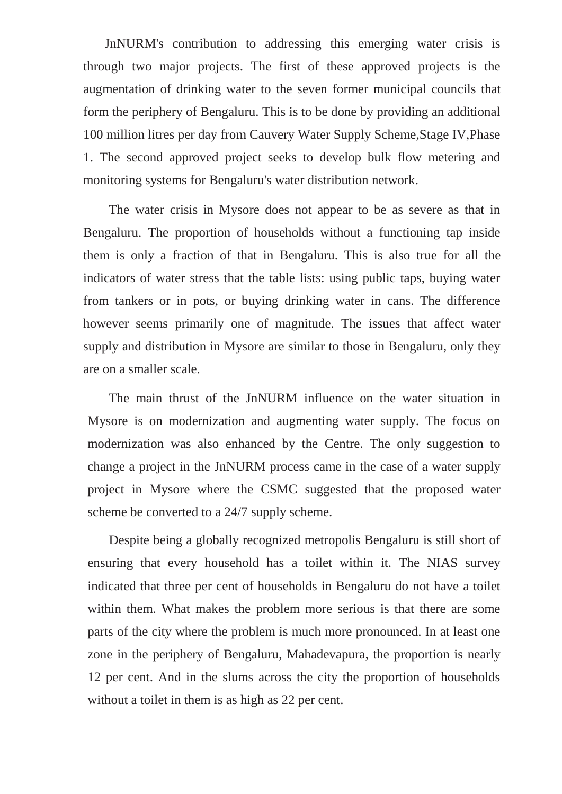JnNURM's contribution to addressing this emerging water crisis is through two major projects. The first of these approved projects is the augmentation of drinking water to the seven former municipal councils that form the periphery of Bengaluru. This is to be done by providing an additional 100 million litres per day from Cauvery Water Supply Scheme,Stage IV,Phase 1. The second approved project seeks to develop bulk flow metering and monitoring systems for Bengaluru's water distribution network.

The water crisis in Mysore does not appear to be as severe as that in Bengaluru. The proportion of households without a functioning tap inside them is only a fraction of that in Bengaluru. This is also true for all the indicators of water stress that the table lists: using public taps, buying water from tankers or in pots, or buying drinking water in cans. The difference however seems primarily one of magnitude. The issues that affect water supply and distribution in Mysore are similar to those in Bengaluru, only they are on a smaller scale.

The main thrust of the JnNURM influence on the water situation in Mysore is on modernization and augmenting water supply. The focus on modernization was also enhanced by the Centre. The only suggestion to change a project in the JnNURM process came in the case of a water supply project in Mysore where the CSMC suggested that the proposed water scheme be converted to a 24/7 supply scheme.

Despite being a globally recognized metropolis Bengaluru is still short of ensuring that every household has a toilet within it. The NIAS survey indicated that three per cent of households in Bengaluru do not have a toilet within them. What makes the problem more serious is that there are some parts of the city where the problem is much more pronounced. In at least one zone in the periphery of Bengaluru, Mahadevapura, the proportion is nearly 12 per cent. And in the slums across the city the proportion of households without a toilet in them is as high as 22 per cent.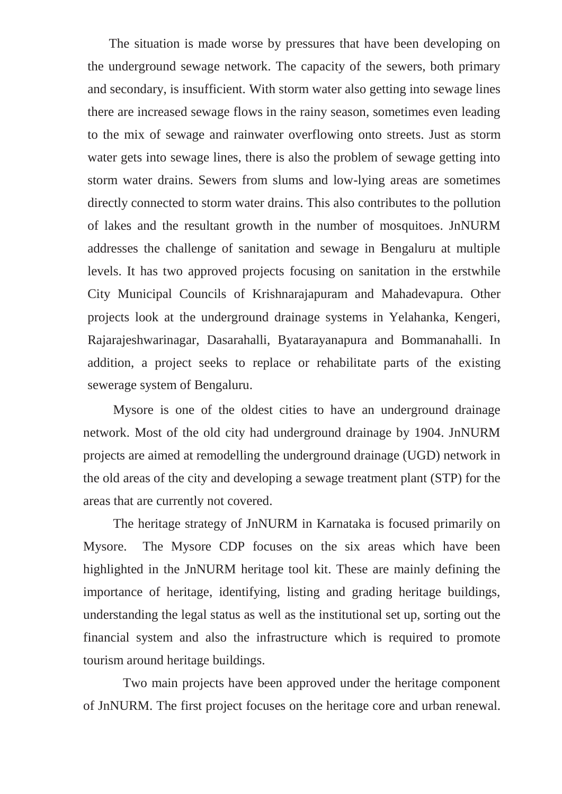The situation is made worse by pressures that have been developing on the underground sewage network. The capacity of the sewers, both primary and secondary, is insufficient. With storm water also getting into sewage lines there are increased sewage flows in the rainy season, sometimes even leading to the mix of sewage and rainwater overflowing onto streets. Just as storm water gets into sewage lines, there is also the problem of sewage getting into storm water drains. Sewers from slums and low-lying areas are sometimes directly connected to storm water drains. This also contributes to the pollution of lakes and the resultant growth in the number of mosquitoes. JnNURM addresses the challenge of sanitation and sewage in Bengaluru at multiple levels. It has two approved projects focusing on sanitation in the erstwhile City Municipal Councils of Krishnarajapuram and Mahadevapura. Other projects look at the underground drainage systems in Yelahanka, Kengeri, Rajarajeshwarinagar, Dasarahalli, Byatarayanapura and Bommanahalli. In addition, a project seeks to replace or rehabilitate parts of the existing sewerage system of Bengaluru.

Mysore is one of the oldest cities to have an underground drainage network. Most of the old city had underground drainage by 1904. JnNURM projects are aimed at remodelling the underground drainage (UGD) network in the old areas of the city and developing a sewage treatment plant (STP) for the areas that are currently not covered.

The heritage strategy of JnNURM in Karnataka is focused primarily on Mysore. The Mysore CDP focuses on the six areas which have been highlighted in the JnNURM heritage tool kit. These are mainly defining the importance of heritage, identifying, listing and grading heritage buildings, understanding the legal status as well as the institutional set up, sorting out the financial system and also the infrastructure which is required to promote tourism around heritage buildings.

 Two main projects have been approved under the heritage component of JnNURM. The first project focuses on the heritage core and urban renewal.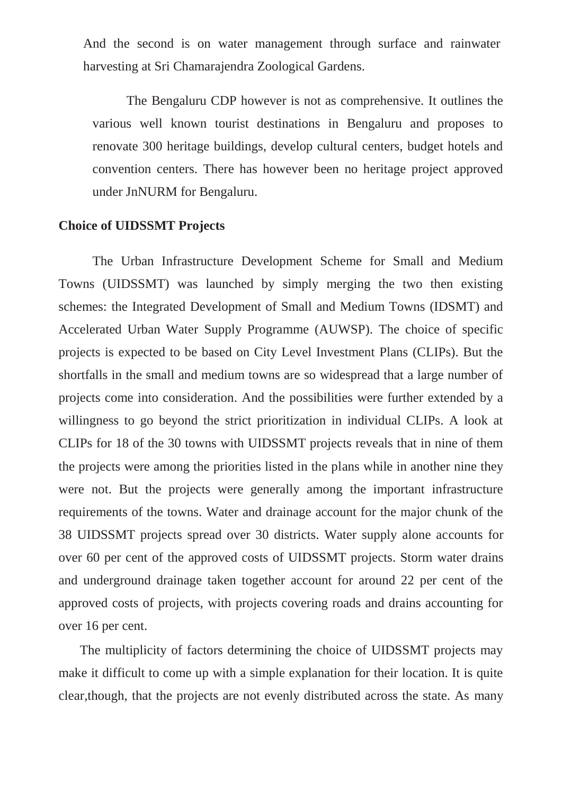And the second is on water management through surface and rainwater harvesting at Sri Chamarajendra Zoological Gardens.

The Bengaluru CDP however is not as comprehensive. It outlines the various well known tourist destinations in Bengaluru and proposes to renovate 300 heritage buildings, develop cultural centers, budget hotels and convention centers. There has however been no heritage project approved under JnNURM for Bengaluru.

## **Choice of UIDSSMT Projects**

The Urban Infrastructure Development Scheme for Small and Medium Towns (UIDSSMT) was launched by simply merging the two then existing schemes: the Integrated Development of Small and Medium Towns (IDSMT) and Accelerated Urban Water Supply Programme (AUWSP). The choice of specific projects is expected to be based on City Level Investment Plans (CLIPs). But the shortfalls in the small and medium towns are so widespread that a large number of projects come into consideration. And the possibilities were further extended by a willingness to go beyond the strict prioritization in individual CLIPs. A look at CLIPs for 18 of the 30 towns with UIDSSMT projects reveals that in nine of them the projects were among the priorities listed in the plans while in another nine they were not. But the projects were generally among the important infrastructure requirements of the towns. Water and drainage account for the major chunk of the 38 UIDSSMT projects spread over 30 districts. Water supply alone accounts for over 60 per cent of the approved costs of UIDSSMT projects. Storm water drains and underground drainage taken together account for around 22 per cent of the approved costs of projects, with projects covering roads and drains accounting for over 16 per cent.

The multiplicity of factors determining the choice of UIDSSMT projects may make it difficult to come up with a simple explanation for their location. It is quite clear,though, that the projects are not evenly distributed across the state. As many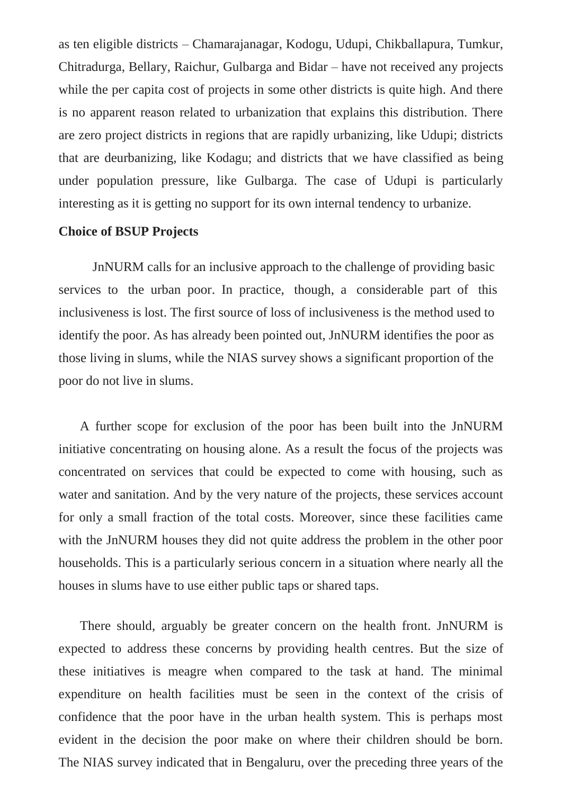as ten eligible districts – Chamarajanagar, Kodogu, Udupi, Chikballapura, Tumkur, Chitradurga, Bellary, Raichur, Gulbarga and Bidar – have not received any projects while the per capita cost of projects in some other districts is quite high. And there is no apparent reason related to urbanization that explains this distribution. There are zero project districts in regions that are rapidly urbanizing, like Udupi; districts that are deurbanizing, like Kodagu; and districts that we have classified as being under population pressure, like Gulbarga. The case of Udupi is particularly interesting as it is getting no support for its own internal tendency to urbanize.

### **Choice of BSUP Projects**

JnNURM calls for an inclusive approach to the challenge of providing basic services to the urban poor. In practice, though, a considerable part of this inclusiveness is lost. The first source of loss of inclusiveness is the method used to identify the poor. As has already been pointed out, JnNURM identifies the poor as those living in slums, while the NIAS survey shows a significant proportion of the poor do not live in slums.

A further scope for exclusion of the poor has been built into the JnNURM initiative concentrating on housing alone. As a result the focus of the projects was concentrated on services that could be expected to come with housing, such as water and sanitation. And by the very nature of the projects, these services account for only a small fraction of the total costs. Moreover, since these facilities came with the JnNURM houses they did not quite address the problem in the other poor households. This is a particularly serious concern in a situation where nearly all the houses in slums have to use either public taps or shared taps.

There should, arguably be greater concern on the health front. JnNURM is expected to address these concerns by providing health centres. But the size of these initiatives is meagre when compared to the task at hand. The minimal expenditure on health facilities must be seen in the context of the crisis of confidence that the poor have in the urban health system. This is perhaps most evident in the decision the poor make on where their children should be born. The NIAS survey indicated that in Bengaluru, over the preceding three years of the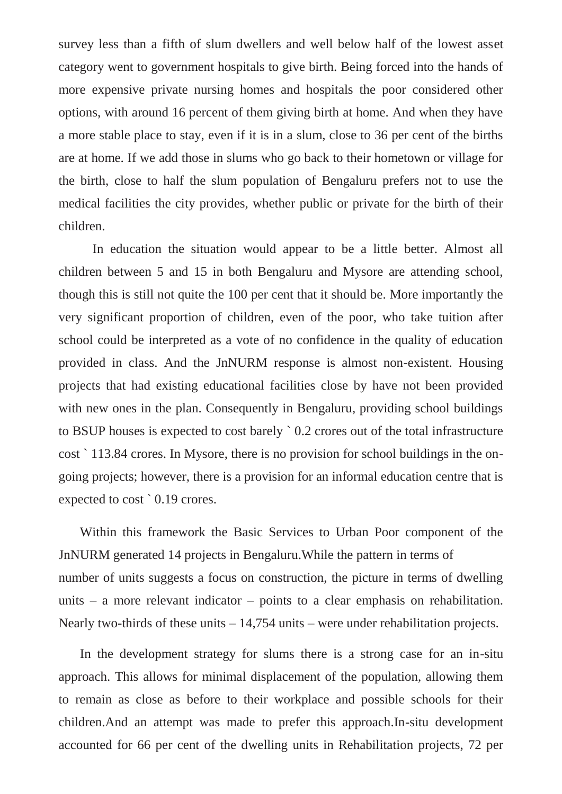survey less than a fifth of slum dwellers and well below half of the lowest asset category went to government hospitals to give birth. Being forced into the hands of more expensive private nursing homes and hospitals the poor considered other options, with around 16 percent of them giving birth at home. And when they have a more stable place to stay, even if it is in a slum, close to 36 per cent of the births are at home. If we add those in slums who go back to their hometown or village for the birth, close to half the slum population of Bengaluru prefers not to use the medical facilities the city provides, whether public or private for the birth of their children.

In education the situation would appear to be a little better. Almost all children between 5 and 15 in both Bengaluru and Mysore are attending school, though this is still not quite the 100 per cent that it should be. More importantly the very significant proportion of children, even of the poor, who take tuition after school could be interpreted as a vote of no confidence in the quality of education provided in class. And the JnNURM response is almost non-existent. Housing projects that had existing educational facilities close by have not been provided with new ones in the plan. Consequently in Bengaluru, providing school buildings to BSUP houses is expected to cost barely ` 0.2 crores out of the total infrastructure cost ` 113.84 crores. In Mysore, there is no provision for school buildings in the ongoing projects; however, there is a provision for an informal education centre that is expected to cost ` 0.19 crores.

Within this framework the Basic Services to Urban Poor component of the JnNURM generated 14 projects in Bengaluru.While the pattern in terms of number of units suggests a focus on construction, the picture in terms of dwelling units – a more relevant indicator – points to a clear emphasis on rehabilitation. Nearly two-thirds of these units – 14,754 units – were under rehabilitation projects.

In the development strategy for slums there is a strong case for an in-situ approach. This allows for minimal displacement of the population, allowing them to remain as close as before to their workplace and possible schools for their children.And an attempt was made to prefer this approach.In-situ development accounted for 66 per cent of the dwelling units in Rehabilitation projects, 72 per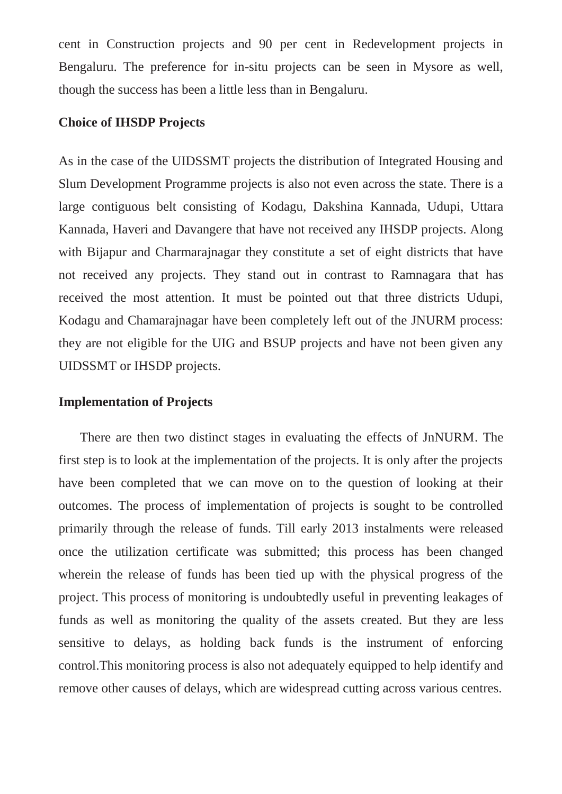cent in Construction projects and 90 per cent in Redevelopment projects in Bengaluru. The preference for in-situ projects can be seen in Mysore as well, though the success has been a little less than in Bengaluru.

## **Choice of IHSDP Projects**

As in the case of the UIDSSMT projects the distribution of Integrated Housing and Slum Development Programme projects is also not even across the state. There is a large contiguous belt consisting of Kodagu, Dakshina Kannada, Udupi, Uttara Kannada, Haveri and Davangere that have not received any IHSDP projects. Along with Bijapur and Charmarajnagar they constitute a set of eight districts that have not received any projects. They stand out in contrast to Ramnagara that has received the most attention. It must be pointed out that three districts Udupi, Kodagu and Chamarajnagar have been completely left out of the JNURM process: they are not eligible for the UIG and BSUP projects and have not been given any UIDSSMT or IHSDP projects.

### **Implementation of Projects**

There are then two distinct stages in evaluating the effects of JnNURM. The first step is to look at the implementation of the projects. It is only after the projects have been completed that we can move on to the question of looking at their outcomes. The process of implementation of projects is sought to be controlled primarily through the release of funds. Till early 2013 instalments were released once the utilization certificate was submitted; this process has been changed wherein the release of funds has been tied up with the physical progress of the project. This process of monitoring is undoubtedly useful in preventing leakages of funds as well as monitoring the quality of the assets created. But they are less sensitive to delays, as holding back funds is the instrument of enforcing control.This monitoring process is also not adequately equipped to help identify and remove other causes of delays, which are widespread cutting across various centres.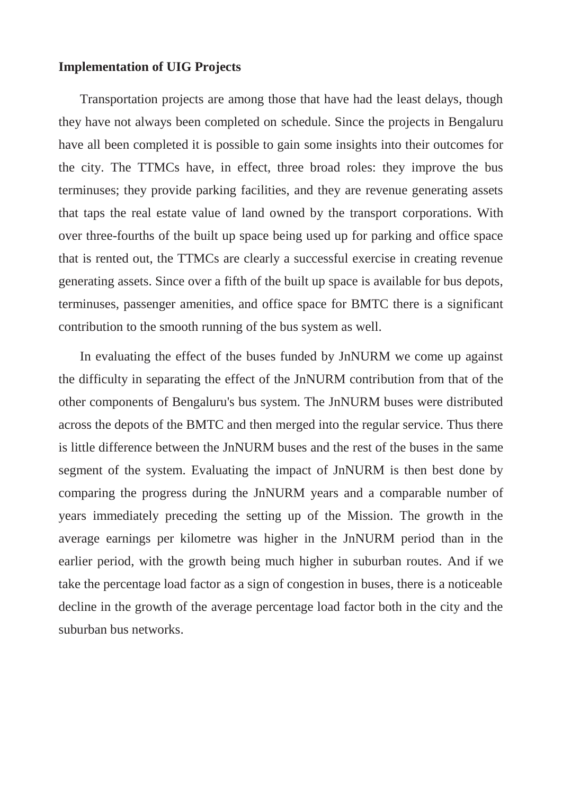### **Implementation of UIG Projects**

Transportation projects are among those that have had the least delays, though they have not always been completed on schedule. Since the projects in Bengaluru have all been completed it is possible to gain some insights into their outcomes for the city. The TTMCs have, in effect, three broad roles: they improve the bus terminuses; they provide parking facilities, and they are revenue generating assets that taps the real estate value of land owned by the transport corporations. With over three-fourths of the built up space being used up for parking and office space that is rented out, the TTMCs are clearly a successful exercise in creating revenue generating assets. Since over a fifth of the built up space is available for bus depots, terminuses, passenger amenities, and office space for BMTC there is a significant contribution to the smooth running of the bus system as well.

In evaluating the effect of the buses funded by JnNURM we come up against the difficulty in separating the effect of the JnNURM contribution from that of the other components of Bengaluru's bus system. The JnNURM buses were distributed across the depots of the BMTC and then merged into the regular service. Thus there is little difference between the JnNURM buses and the rest of the buses in the same segment of the system. Evaluating the impact of JnNURM is then best done by comparing the progress during the JnNURM years and a comparable number of years immediately preceding the setting up of the Mission. The growth in the average earnings per kilometre was higher in the JnNURM period than in the earlier period, with the growth being much higher in suburban routes. And if we take the percentage load factor as a sign of congestion in buses, there is a noticeable decline in the growth of the average percentage load factor both in the city and the suburban bus networks.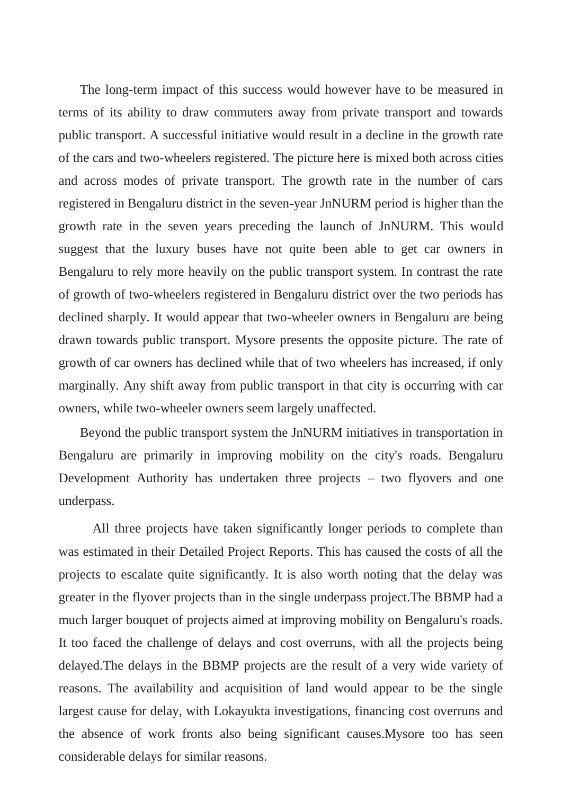The long-term impact of this success would however have to be measured in terms of its ability to draw commuters away from private transport and towards public transport. A successful initiative would result in a decline in the growth rate of the cars and two-wheelers registered. The picture here is mixed both across cities and across modes of private transport. The growth rate in the number of cars registered in Bengaluru district in the seven-year JnNURM period is higher than the growth rate in the seven years preceding the launch of JnNURM. This would suggest that the luxury buses have not quite been able to get car owners in Bengaluru to rely more heavily on the public transport system. In contrast the rate of growth of two-wheelers registered in Bengaluru district over the two periods has declined sharply. It would appear that two-wheeler owners in Bengaluru are being drawn towards public transport. Mysore presents the opposite picture. The rate of growth of car owners has declined while that of two wheelers has increased, if only marginally. Any shift away from public transport in that city is occurring with car owners, while two-wheeler owners seem largely unaffected.

Beyond the public transport system the JnNURM initiatives in transportation in Bengaluru are primarily in improving mobility on the city's roads. Bengaluru Development Authority has undertaken three projects – two flyovers and one underpass.

All three projects have taken significantly longer periods to complete than was estimated in their Detailed Project Reports. This has caused the costs of all the projects to escalate quite significantly. It is also worth noting that the delay was greater in the flyover projects than in the single underpass project.The BBMP had a much larger bouquet of projects aimed at improving mobility on Bengaluru's roads. It too faced the challenge of delays and cost overruns, with all the projects being delayed.The delays in the BBMP projects are the result of a very wide variety of reasons. The availability and acquisition of land would appear to be the single largest cause for delay, with Lokayukta investigations, financing cost overruns and the absence of work fronts also being significant causes.Mysore too has seen considerable delays for similar reasons.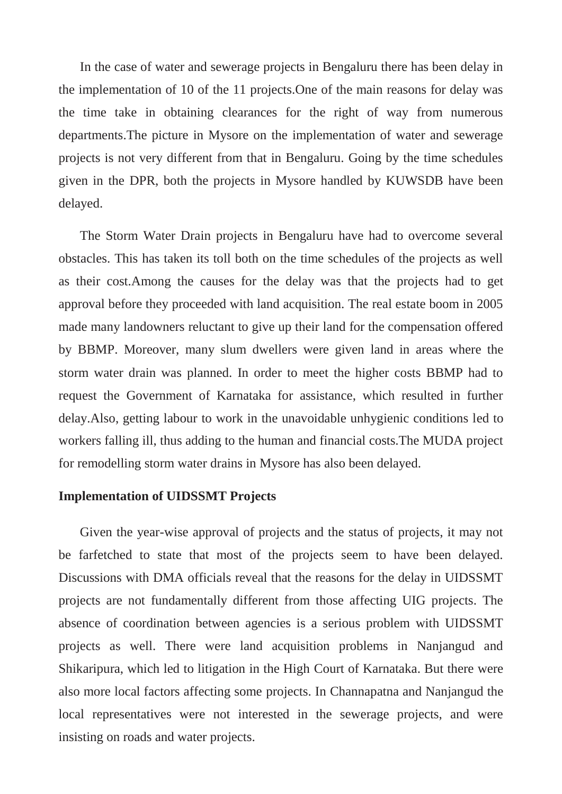In the case of water and sewerage projects in Bengaluru there has been delay in the implementation of 10 of the 11 projects.One of the main reasons for delay was the time take in obtaining clearances for the right of way from numerous departments.The picture in Mysore on the implementation of water and sewerage projects is not very different from that in Bengaluru. Going by the time schedules given in the DPR, both the projects in Mysore handled by KUWSDB have been delayed.

The Storm Water Drain projects in Bengaluru have had to overcome several obstacles. This has taken its toll both on the time schedules of the projects as well as their cost.Among the causes for the delay was that the projects had to get approval before they proceeded with land acquisition. The real estate boom in 2005 made many landowners reluctant to give up their land for the compensation offered by BBMP. Moreover, many slum dwellers were given land in areas where the storm water drain was planned. In order to meet the higher costs BBMP had to request the Government of Karnataka for assistance, which resulted in further delay.Also, getting labour to work in the unavoidable unhygienic conditions led to workers falling ill, thus adding to the human and financial costs.The MUDA project for remodelling storm water drains in Mysore has also been delayed.

### **Implementation of UIDSSMT Projects**

Given the year-wise approval of projects and the status of projects, it may not be farfetched to state that most of the projects seem to have been delayed. Discussions with DMA officials reveal that the reasons for the delay in UIDSSMT projects are not fundamentally different from those affecting UIG projects. The absence of coordination between agencies is a serious problem with UIDSSMT projects as well. There were land acquisition problems in Nanjangud and Shikaripura, which led to litigation in the High Court of Karnataka. But there were also more local factors affecting some projects. In Channapatna and Nanjangud the local representatives were not interested in the sewerage projects, and were insisting on roads and water projects.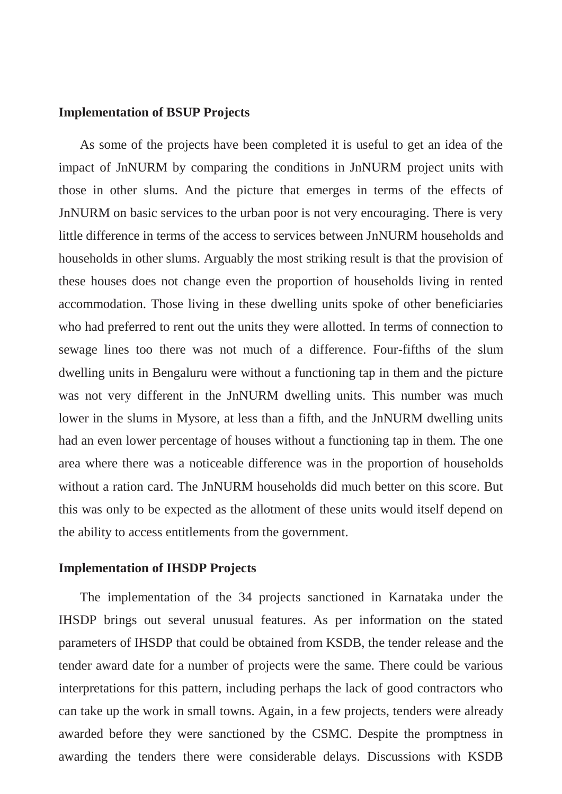### **Implementation of BSUP Projects**

As some of the projects have been completed it is useful to get an idea of the impact of JnNURM by comparing the conditions in JnNURM project units with those in other slums. And the picture that emerges in terms of the effects of JnNURM on basic services to the urban poor is not very encouraging. There is very little difference in terms of the access to services between JnNURM households and households in other slums. Arguably the most striking result is that the provision of these houses does not change even the proportion of households living in rented accommodation. Those living in these dwelling units spoke of other beneficiaries who had preferred to rent out the units they were allotted. In terms of connection to sewage lines too there was not much of a difference. Four-fifths of the slum dwelling units in Bengaluru were without a functioning tap in them and the picture was not very different in the JnNURM dwelling units. This number was much lower in the slums in Mysore, at less than a fifth, and the JnNURM dwelling units had an even lower percentage of houses without a functioning tap in them. The one area where there was a noticeable difference was in the proportion of households without a ration card. The JnNURM households did much better on this score. But this was only to be expected as the allotment of these units would itself depend on the ability to access entitlements from the government.

#### **Implementation of IHSDP Projects**

The implementation of the 34 projects sanctioned in Karnataka under the IHSDP brings out several unusual features. As per information on the stated parameters of IHSDP that could be obtained from KSDB, the tender release and the tender award date for a number of projects were the same. There could be various interpretations for this pattern, including perhaps the lack of good contractors who can take up the work in small towns. Again, in a few projects, tenders were already awarded before they were sanctioned by the CSMC. Despite the promptness in awarding the tenders there were considerable delays. Discussions with KSDB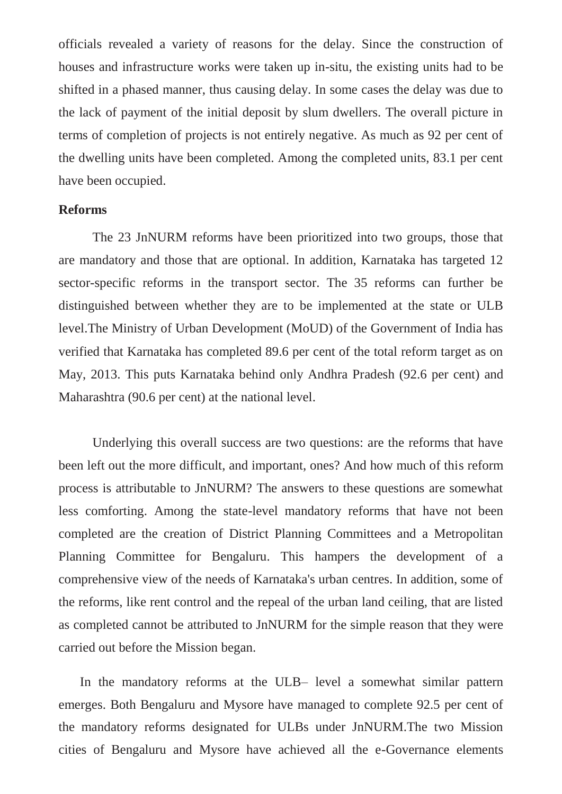officials revealed a variety of reasons for the delay. Since the construction of houses and infrastructure works were taken up in-situ, the existing units had to be shifted in a phased manner, thus causing delay. In some cases the delay was due to the lack of payment of the initial deposit by slum dwellers. The overall picture in terms of completion of projects is not entirely negative. As much as 92 per cent of the dwelling units have been completed. Among the completed units, 83.1 per cent have been occupied.

### **Reforms**

The 23 JnNURM reforms have been prioritized into two groups, those that are mandatory and those that are optional. In addition, Karnataka has targeted 12 sector-specific reforms in the transport sector. The 35 reforms can further be distinguished between whether they are to be implemented at the state or ULB level.The Ministry of Urban Development (MoUD) of the Government of India has verified that Karnataka has completed 89.6 per cent of the total reform target as on May, 2013. This puts Karnataka behind only Andhra Pradesh (92.6 per cent) and Maharashtra (90.6 per cent) at the national level.

Underlying this overall success are two questions: are the reforms that have been left out the more difficult, and important, ones? And how much of this reform process is attributable to JnNURM? The answers to these questions are somewhat less comforting. Among the state-level mandatory reforms that have not been completed are the creation of District Planning Committees and a Metropolitan Planning Committee for Bengaluru. This hampers the development of a comprehensive view of the needs of Karnataka's urban centres. In addition, some of the reforms, like rent control and the repeal of the urban land ceiling, that are listed as completed cannot be attributed to JnNURM for the simple reason that they were carried out before the Mission began.

In the mandatory reforms at the ULB– level a somewhat similar pattern emerges. Both Bengaluru and Mysore have managed to complete 92.5 per cent of the mandatory reforms designated for ULBs under JnNURM.The two Mission cities of Bengaluru and Mysore have achieved all the e-Governance elements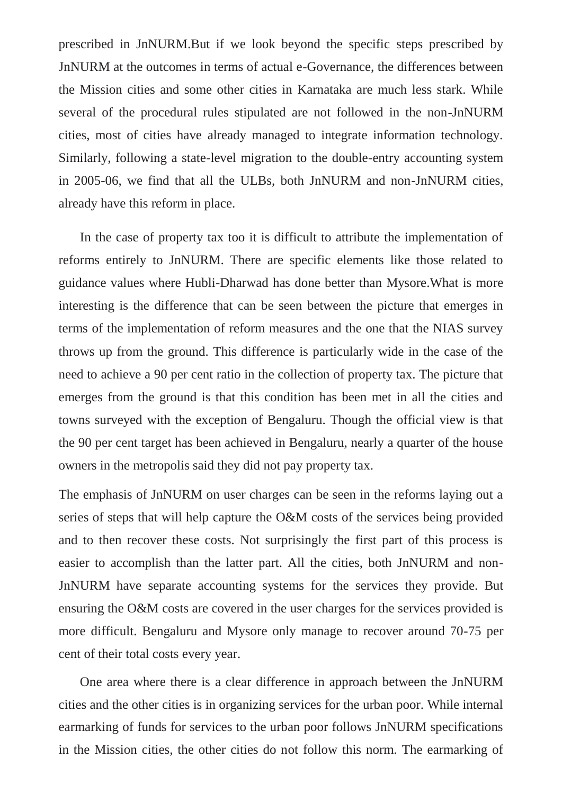prescribed in JnNURM.But if we look beyond the specific steps prescribed by JnNURM at the outcomes in terms of actual e-Governance, the differences between the Mission cities and some other cities in Karnataka are much less stark. While several of the procedural rules stipulated are not followed in the non-JnNURM cities, most of cities have already managed to integrate information technology. Similarly, following a state-level migration to the double-entry accounting system in 2005-06, we find that all the ULBs, both JnNURM and non-JnNURM cities, already have this reform in place.

In the case of property tax too it is difficult to attribute the implementation of reforms entirely to JnNURM. There are specific elements like those related to guidance values where Hubli-Dharwad has done better than Mysore.What is more interesting is the difference that can be seen between the picture that emerges in terms of the implementation of reform measures and the one that the NIAS survey throws up from the ground. This difference is particularly wide in the case of the need to achieve a 90 per cent ratio in the collection of property tax. The picture that emerges from the ground is that this condition has been met in all the cities and towns surveyed with the exception of Bengaluru. Though the official view is that the 90 per cent target has been achieved in Bengaluru, nearly a quarter of the house owners in the metropolis said they did not pay property tax.

The emphasis of JnNURM on user charges can be seen in the reforms laying out a series of steps that will help capture the O&M costs of the services being provided and to then recover these costs. Not surprisingly the first part of this process is easier to accomplish than the latter part. All the cities, both JnNURM and non-JnNURM have separate accounting systems for the services they provide. But ensuring the O&M costs are covered in the user charges for the services provided is more difficult. Bengaluru and Mysore only manage to recover around 70-75 per cent of their total costs every year.

One area where there is a clear difference in approach between the JnNURM cities and the other cities is in organizing services for the urban poor. While internal earmarking of funds for services to the urban poor follows JnNURM specifications in the Mission cities, the other cities do not follow this norm. The earmarking of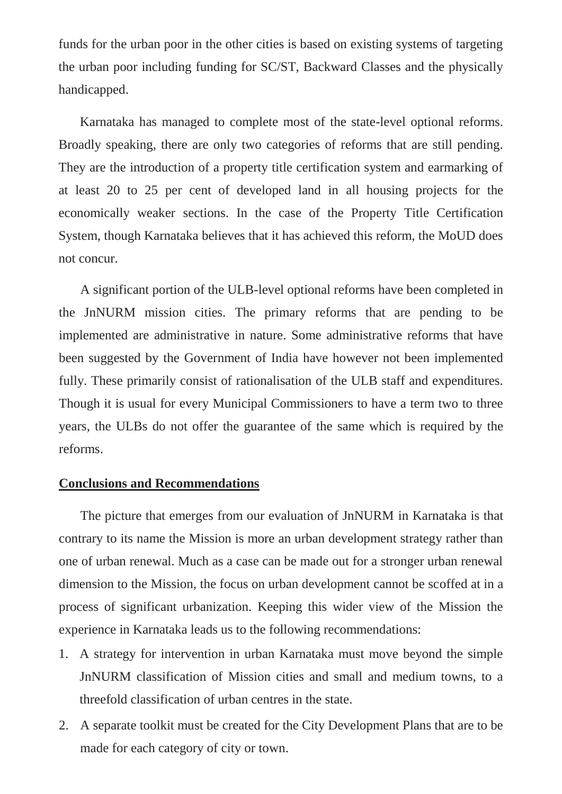funds for the urban poor in the other cities is based on existing systems of targeting the urban poor including funding for SC/ST, Backward Classes and the physically handicapped.

Karnataka has managed to complete most of the state-level optional reforms. Broadly speaking, there are only two categories of reforms that are still pending. They are the introduction of a property title certification system and earmarking of at least 20 to 25 per cent of developed land in all housing projects for the economically weaker sections. In the case of the Property Title Certification System, though Karnataka believes that it has achieved this reform, the MoUD does not concur.

A significant portion of the ULB-level optional reforms have been completed in the JnNURM mission cities. The primary reforms that are pending to be implemented are administrative in nature. Some administrative reforms that have been suggested by the Government of India have however not been implemented fully. These primarily consist of rationalisation of the ULB staff and expenditures. Though it is usual for every Municipal Commissioners to have a term two to three years, the ULBs do not offer the guarantee of the same which is required by the reforms.

# **Conclusions and Recommendations**

The picture that emerges from our evaluation of JnNURM in Karnataka is that contrary to its name the Mission is more an urban development strategy rather than one of urban renewal. Much as a case can be made out for a stronger urban renewal dimension to the Mission, the focus on urban development cannot be scoffed at in a process of significant urbanization. Keeping this wider view of the Mission the experience in Karnataka leads us to the following recommendations:

- 1. A strategy for intervention in urban Karnataka must move beyond the simple JnNURM classification of Mission cities and small and medium towns, to a threefold classification of urban centres in the state.
- 2. A separate toolkit must be created for the City Development Plans that are to be made for each category of city or town.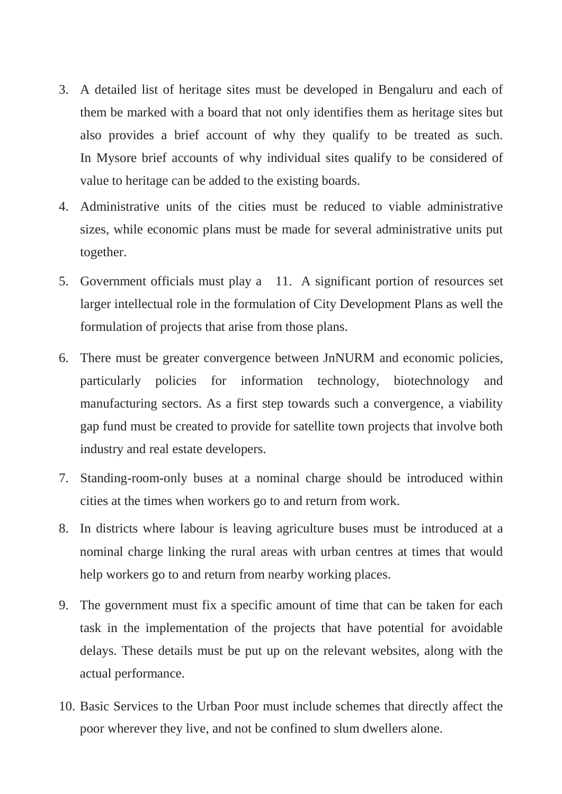- 3. A detailed list of heritage sites must be developed in Bengaluru and each of them be marked with a board that not only identifies them as heritage sites but also provides a brief account of why they qualify to be treated as such. In Mysore brief accounts of why individual sites qualify to be considered of value to heritage can be added to the existing boards.
- 4. Administrative units of the cities must be reduced to viable administrative sizes, while economic plans must be made for several administrative units put together.
- 5. Government officials must play a 11. A significant portion of resources set larger intellectual role in the formulation of City Development Plans as well the formulation of projects that arise from those plans.
- 6. There must be greater convergence between JnNURM and economic policies, particularly policies for information technology, biotechnology and manufacturing sectors. As a first step towards such a convergence, a viability gap fund must be created to provide for satellite town projects that involve both industry and real estate developers.
- 7. Standing-room-only buses at a nominal charge should be introduced within cities at the times when workers go to and return from work.
- 8. In districts where labour is leaving agriculture buses must be introduced at a nominal charge linking the rural areas with urban centres at times that would help workers go to and return from nearby working places.
- 9. The government must fix a specific amount of time that can be taken for each task in the implementation of the projects that have potential for avoidable delays. These details must be put up on the relevant websites, along with the actual performance.
- 10. Basic Services to the Urban Poor must include schemes that directly affect the poor wherever they live, and not be confined to slum dwellers alone.